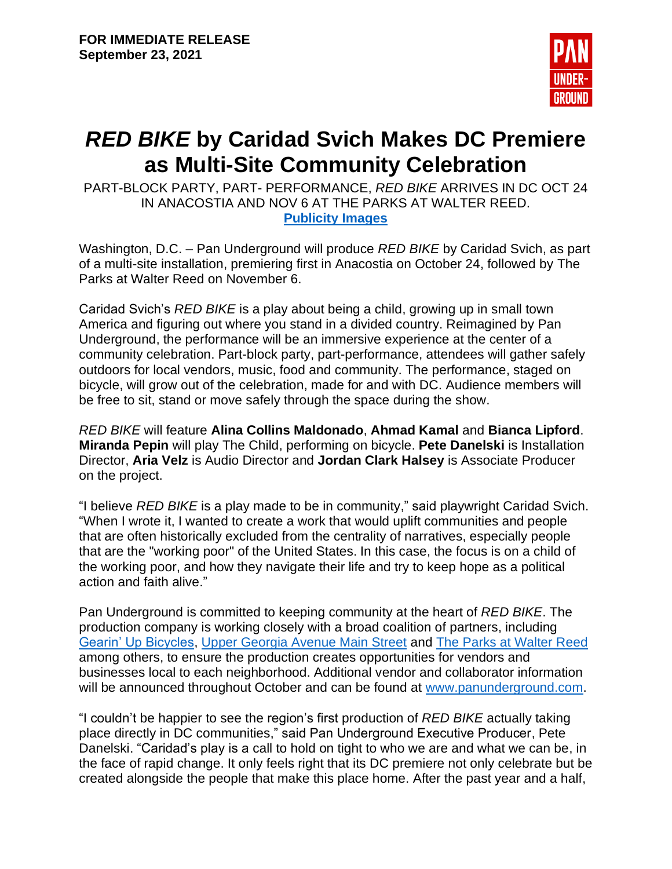

## *RED BIKE* **by Caridad Svich Makes DC Premiere as Multi-Site Community Celebration**

PART-BLOCK PARTY, PART- PERFORMANCE, *RED BIKE* ARRIVES IN DC OCT 24 IN ANACOSTIA AND NOV 6 AT THE PARKS AT WALTER REED. **[Publicity Images](https://drive.google.com/drive/folders/17tS_0E5ex49rhNq7fU-O4WpuefGDDe90?usp=sharing)**

Washington, D.C. – Pan Underground will produce *RED BIKE* by Caridad Svich, as part of a multi-site installation, premiering first in Anacostia on October 24, followed by The Parks at Walter Reed on November 6.

Caridad Svich's *RED BIKE* is a play about being a child, growing up in small town America and figuring out where you stand in a divided country. Reimagined by Pan Underground, the performance will be an immersive experience at the center of a community celebration. Part-block party, part-performance, attendees will gather safely outdoors for local vendors, music, food and community. The performance, staged on bicycle, will grow out of the celebration, made for and with DC. Audience members will be free to sit, stand or move safely through the space during the show.

*RED BIKE* will feature **Alina Collins Maldonado**, **Ahmad Kamal** and **Bianca Lipford**. **Miranda Pepin** will play The Child, performing on bicycle. **Pete Danelski** is Installation Director, **Aria Velz** is Audio Director and **Jordan Clark Halsey** is Associate Producer on the project.

"I believe *RED BIKE* is a play made to be in community," said playwright Caridad Svich. "When I wrote it, I wanted to create a work that would uplift communities and people that are often historically excluded from the centrality of narratives, especially people that are the "working poor" of the United States. In this case, the focus is on a child of the working poor, and how they navigate their life and try to keep hope as a political action and faith alive."

Pan Underground is committed to keeping community at the heart of *RED BIKE*. The production company is working closely with a broad coalition of partners, including [Gearin' Up Bicycles,](http://gearinupbicycles.org/) [Upper Georgia Avenue Main Street](https://www.uppergeorgiaave.com/) and [The Parks at Walter Reed](https://theparksdc.com/) among others, to ensure the production creates opportunities for vendors and businesses local to each neighborhood. Additional vendor and collaborator information will be announced throughout October and can be found at [www.panunderground.com.](http://www.panunderground.com/)

"I couldn't be happier to see the region's first production of *RED BIKE* actually taking place directly in DC communities," said Pan Underground Executive Producer, Pete Danelski. "Caridad's play is a call to hold on tight to who we are and what we can be, in the face of rapid change. It only feels right that its DC premiere not only celebrate but be created alongside the people that make this place home. After the past year and a half,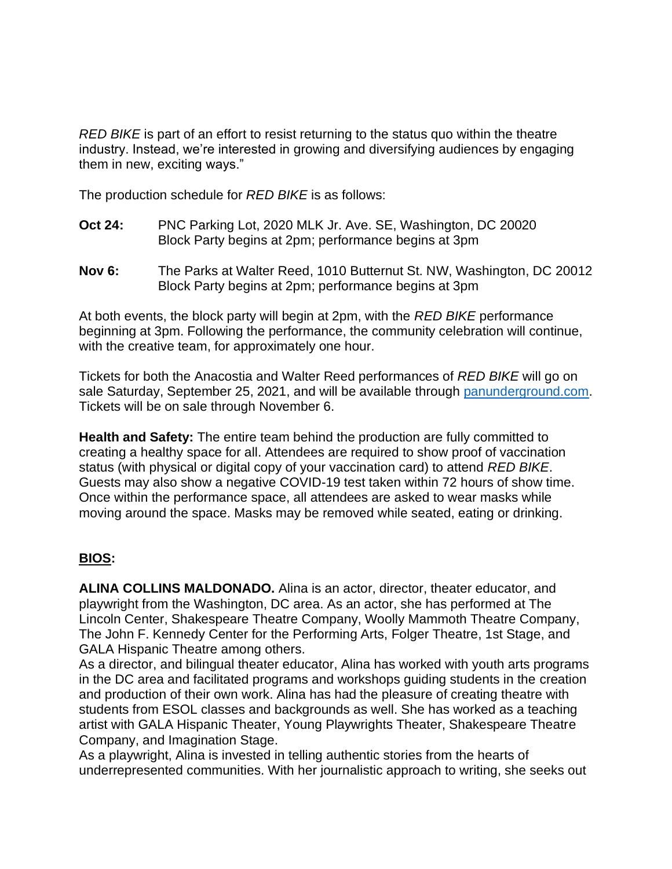*RED BIKE* is part of an effort to resist returning to the status quo within the theatre industry. Instead, we're interested in growing and diversifying audiences by engaging them in new, exciting ways."

The production schedule for *RED BIKE* is as follows:

- **Oct 24:** PNC Parking Lot, 2020 MLK Jr. Ave. SE, Washington, DC 20020 Block Party begins at 2pm; performance begins at 3pm
- **Nov 6:** The Parks at Walter Reed, 1010 Butternut St. NW, Washington, DC 20012 Block Party begins at 2pm; performance begins at 3pm

At both events, the block party will begin at 2pm, with the *RED BIKE* performance beginning at 3pm. Following the performance, the community celebration will continue, with the creative team, for approximately one hour.

Tickets for both the Anacostia and Walter Reed performances of *RED BIKE* will go on sale Saturday, September 25, 2021, and will be available through [panunderground.com.](https://www.panunderground.com/) Tickets will be on sale through November 6.

**Health and Safety:** The entire team behind the production are fully committed to creating a healthy space for all. Attendees are required to show proof of vaccination status (with physical or digital copy of your vaccination card) to attend *RED BIKE*. Guests may also show a negative COVID-19 test taken within 72 hours of show time. Once within the performance space, all attendees are asked to wear masks while moving around the space. Masks may be removed while seated, eating or drinking.

## **BIOS:**

**ALINA COLLINS MALDONADO.** Alina is an actor, director, theater educator, and playwright from the Washington, DC area. As an actor, she has performed at The Lincoln Center, Shakespeare Theatre Company, Woolly Mammoth Theatre Company, The John F. Kennedy Center for the Performing Arts, Folger Theatre, 1st Stage, and GALA Hispanic Theatre among others.

As a director, and bilingual theater educator, Alina has worked with youth arts programs in the DC area and facilitated programs and workshops guiding students in the creation and production of their own work. Alina has had the pleasure of creating theatre with students from ESOL classes and backgrounds as well. She has worked as a teaching artist with GALA Hispanic Theater, Young Playwrights Theater, Shakespeare Theatre Company, and Imagination Stage.

As a playwright, Alina is invested in telling authentic stories from the hearts of underrepresented communities. With her journalistic approach to writing, she seeks out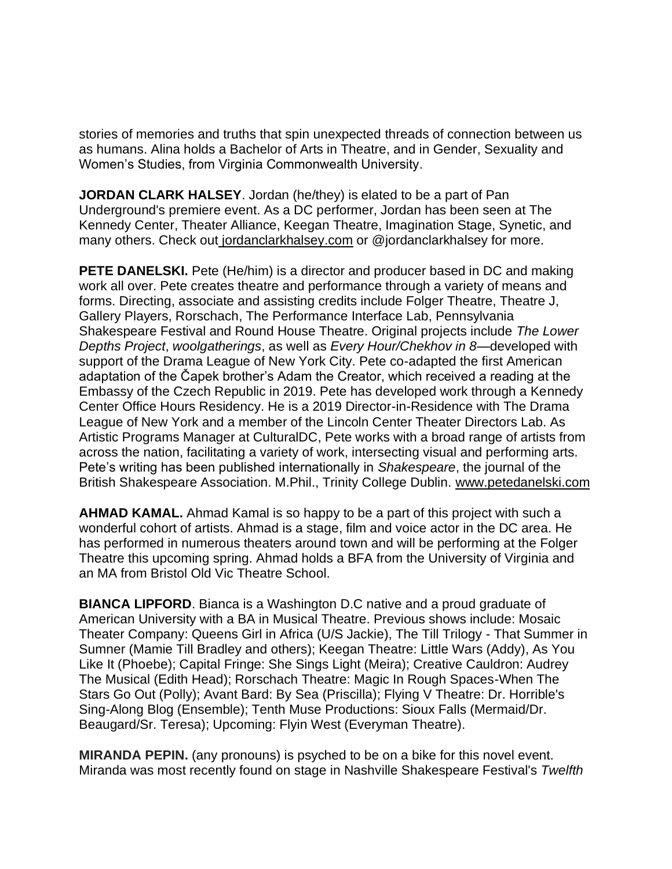stories of memories and truths that spin unexpected threads of connection between us as humans. Alina holds a Bachelor of Arts in Theatre, and in Gender, Sexuality and Women's Studies, from Virginia Commonwealth University.

**JORDAN CLARK HALSEY**. Jordan (he/they) is elated to be a part of Pan Underground's premiere event. As a DC performer, Jordan has been seen at The Kennedy Center, Theater Alliance, Keegan Theatre, Imagination Stage, Synetic, and many others. Check out [jordanclarkhalsey.com](http://jordanclarkhalsey.com/) or @jordanclarkhalsey for more.

**PETE DANELSKI.** Pete (He/him) is a director and producer based in DC and making work all over. Pete creates theatre and performance through a variety of means and forms. Directing, associate and assisting credits include Folger Theatre, Theatre J, Gallery Players, Rorschach, The Performance Interface Lab, Pennsylvania Shakespeare Festival and Round House Theatre. Original projects include *The Lower Depths Project*, *woolgatherings*, as well as *Every Hour/Chekhov in 8*—developed with support of the Drama League of New York City. Pete co-adapted the first American adaptation of the Čapek brother's Adam the Creator, which received a reading at the Embassy of the Czech Republic in 2019. Pete has developed work through a Kennedy Center Office Hours Residency. He is a 2019 Director-in-Residence with The Drama League of New York and a member of the Lincoln Center Theater Directors Lab. As Artistic Programs Manager at CulturalDC, Pete works with a broad range of artists from across the nation, facilitating a variety of work, intersecting visual and performing arts. Pete's writing has been published internationally in *Shakespeare*, the journal of the British Shakespeare Association. M.Phil., Trinity College Dublin. [www.petedanelski.com](http://www.petedanelski.com/)

**AHMAD KAMAL.** Ahmad Kamal is so happy to be a part of this project with such a wonderful cohort of artists. Ahmad is a stage, film and voice actor in the DC area. He has performed in numerous theaters around town and will be performing at the Folger Theatre this upcoming spring. Ahmad holds a BFA from the University of Virginia and an MA from Bristol Old Vic Theatre School.

**BIANCA LIPFORD**. Bianca is a Washington D.C native and a proud graduate of American University with a BA in Musical Theatre. Previous shows include: Mosaic Theater Company: Queens Girl in Africa (U/S Jackie), The Till Trilogy - That Summer in Sumner (Mamie Till Bradley and others); Keegan Theatre: Little Wars (Addy), As You Like It (Phoebe); Capital Fringe: She Sings Light (Meira); Creative Cauldron: Audrey The Musical (Edith Head); Rorschach Theatre: Magic In Rough Spaces-When The Stars Go Out (Polly); Avant Bard: By Sea (Priscilla); Flying V Theatre: Dr. Horrible's Sing-Along Blog (Ensemble); Tenth Muse Productions: Sioux Falls (Mermaid/Dr. Beaugard/Sr. Teresa); Upcoming: Flyin West (Everyman Theatre).

**MIRANDA PEPIN.** (any pronouns) is psyched to be on a bike for this novel event. Miranda was most recently found on stage in Nashville Shakespeare Festival's *Twelfth*